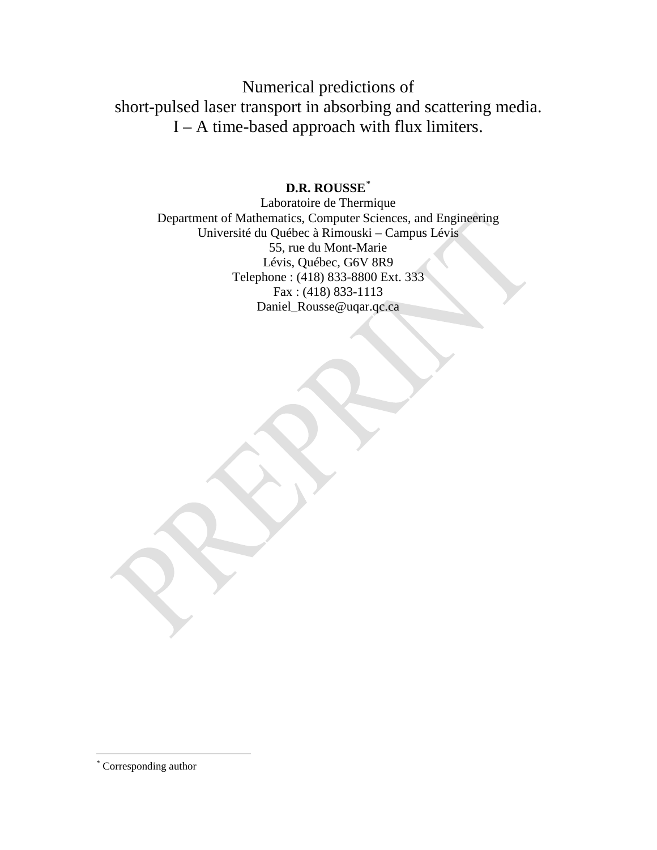Numerical predictions of short-pulsed laser transport in absorbing and scattering media. I – A time-based approach with flux limiters.

# **D.R. ROUSSE**[\\*](#page-0-0)

Laboratoire de Thermique Department of Mathematics, Computer Sciences, and Engineering Université du Québec à Rimouski – Campus Lévis 55, rue du Mont-Marie Lévis, Québec, G6V 8R9 Telephone : (418) 833-8800 Ext. 333 Fax : (418) 833-1113 [Daniel\\_Rousse@uqar.qc.ca](mailto:Daniel_Rousse@uqar.qc.ca)

<span id="page-0-0"></span> <sup>\*</sup> Corresponding author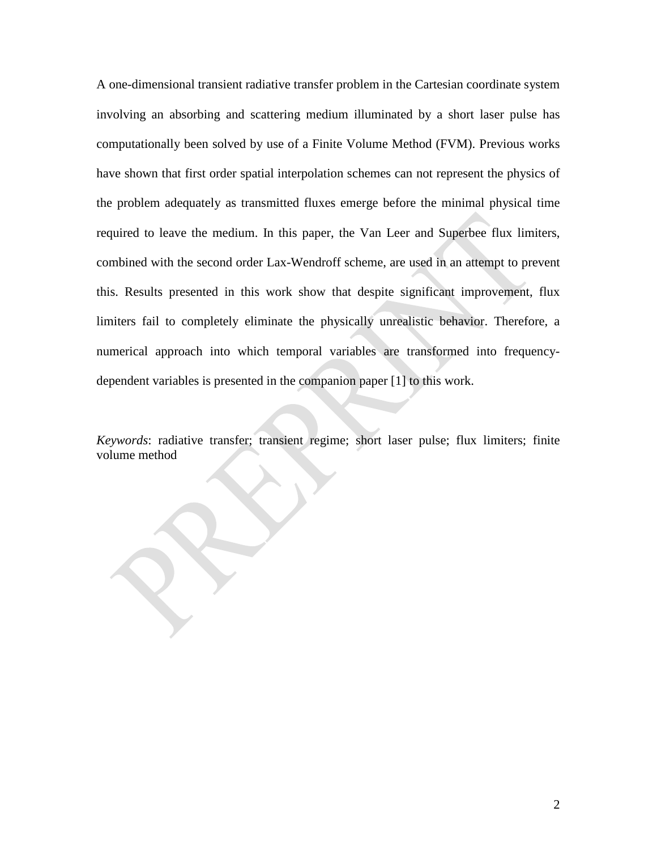A one-dimensional transient radiative transfer problem in the Cartesian coordinate system involving an absorbing and scattering medium illuminated by a short laser pulse has computationally been solved by use of a Finite Volume Method (FVM). Previous works have shown that first order spatial interpolation schemes can not represent the physics of the problem adequately as transmitted fluxes emerge before the minimal physical time required to leave the medium. In this paper, the Van Leer and Superbee flux limiters, combined with the second order Lax-Wendroff scheme, are used in an attempt to prevent this. Results presented in this work show that despite significant improvement, flux limiters fail to completely eliminate the physically unrealistic behavior. Therefore, a numerical approach into which temporal variables are transformed into frequencydependent variables is presented in the companion paper [1] to this work.

*Keywords*: radiative transfer; transient regime; short laser pulse; flux limiters; finite volume method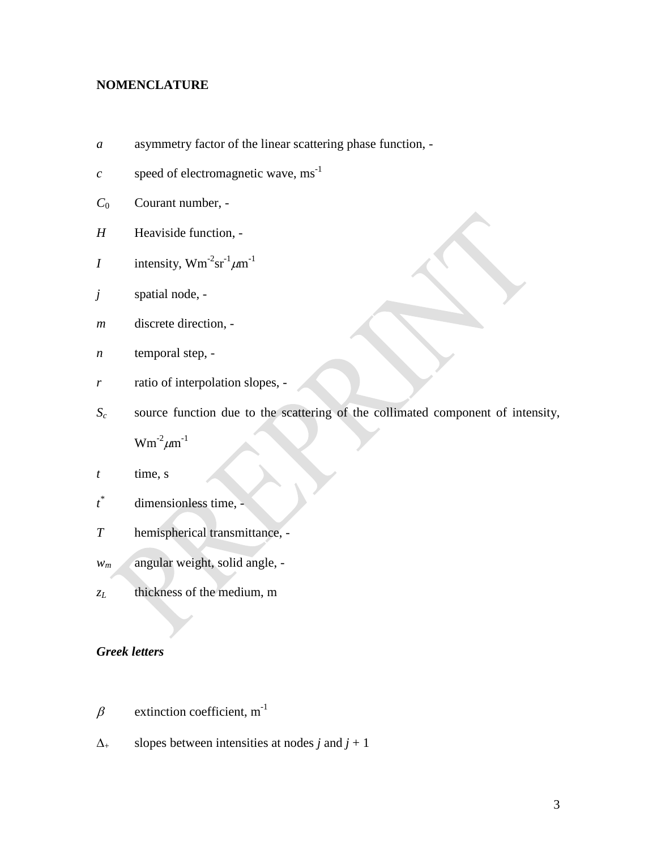### **NOMENCLATURE**

- *a* asymmetry factor of the linear scattering phase function, -
- *c* speed of electromagnetic wave,  $ms^{-1}$
- *C*<sup>0</sup> Courant number, -
- *H* Heaviside function, -
- *I* intensity,  $Wm^{-2}sr^{-1}\mu m^{-1}$
- *j* spatial node, -
- *m* discrete direction, -
- *n* temporal step, -
- *r* ratio of interpolation slopes, -
- *Sc* source function due to the scattering of the collimated component of intensity,

 $Wm^{-2}\mu m^{-1}$ 

- *t* time, s
- *t* dimensionless time, -
- *T* hemispherical transmittance, -
- *wm* angular weight, solid angle, -
- *zL* thickness of the medium, m

## *Greek letters*

- $\beta$  extinction coefficient, m<sup>-1</sup>
- $\Delta_+$  slopes between intensities at nodes *j* and *j* + 1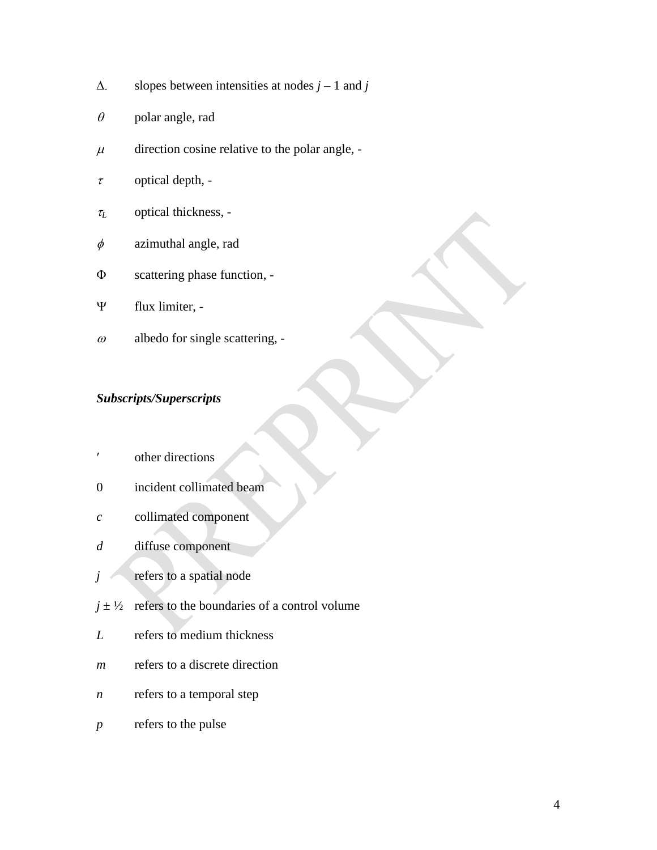- $\Delta$  slopes between intensities at nodes *j* 1 and *j*
- $\theta$  polar angle, rad
- $\mu$  direction cosine relative to the polar angle, -
- $\tau$  optical depth, -
- <sup>τ</sup>*<sup>L</sup>* optical thickness, -
- $\phi$  azimuthal angle, rad
- Φ scattering phase function, -
- Ψ flux limiter, -
- $\omega$  albedo for single scattering, -

# *Subscripts/Superscripts*

- ′ other directions
- 0 incident collimated beam
- *c* collimated component
- *d* diffuse component
- *j* refers to a spatial node
- $j \pm \frac{1}{2}$  refers to the boundaries of a control volume
- *L* refers to medium thickness
- *m* refers to a discrete direction
- *n* refers to a temporal step
- *p* refers to the pulse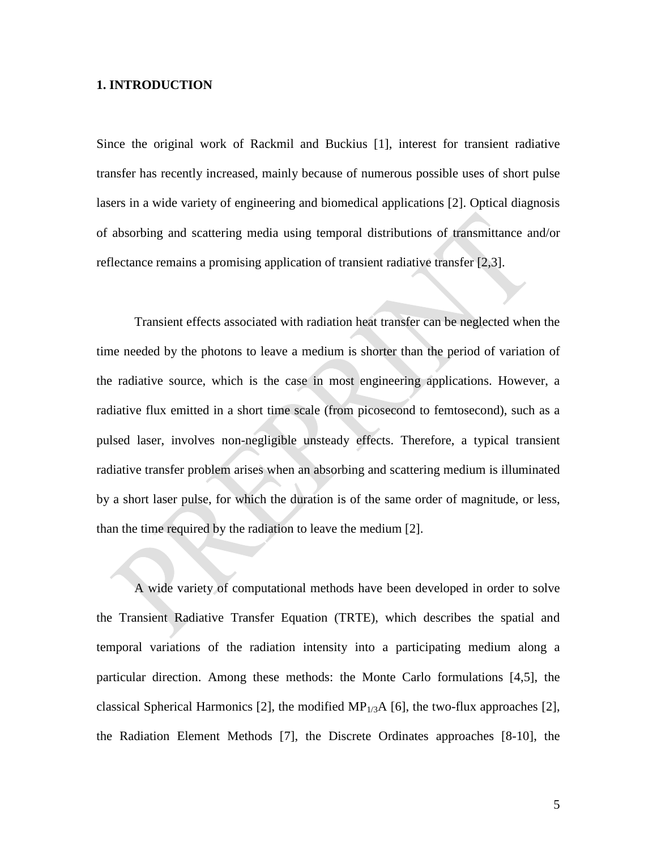#### **1. INTRODUCTION**

Since the original work of Rackmil and Buckius [1], interest for transient radiative transfer has recently increased, mainly because of numerous possible uses of short pulse lasers in a wide variety of engineering and biomedical applications [2]. Optical diagnosis of absorbing and scattering media using temporal distributions of transmittance and/or reflectance remains a promising application of transient radiative transfer [2,3].

Transient effects associated with radiation heat transfer can be neglected when the time needed by the photons to leave a medium is shorter than the period of variation of the radiative source, which is the case in most engineering applications. However, a radiative flux emitted in a short time scale (from picosecond to femtosecond), such as a pulsed laser, involves non-negligible unsteady effects. Therefore, a typical transient radiative transfer problem arises when an absorbing and scattering medium is illuminated by a short laser pulse, for which the duration is of the same order of magnitude, or less, than the time required by the radiation to leave the medium [2].

A wide variety of computational methods have been developed in order to solve the Transient Radiative Transfer Equation (TRTE), which describes the spatial and temporal variations of the radiation intensity into a participating medium along a particular direction. Among these methods: the Monte Carlo formulations [4,5], the classical Spherical Harmonics [2], the modified  $MP_{1/3}A$  [6], the two-flux approaches [2], the Radiation Element Methods [7], the Discrete Ordinates approaches [8-10], the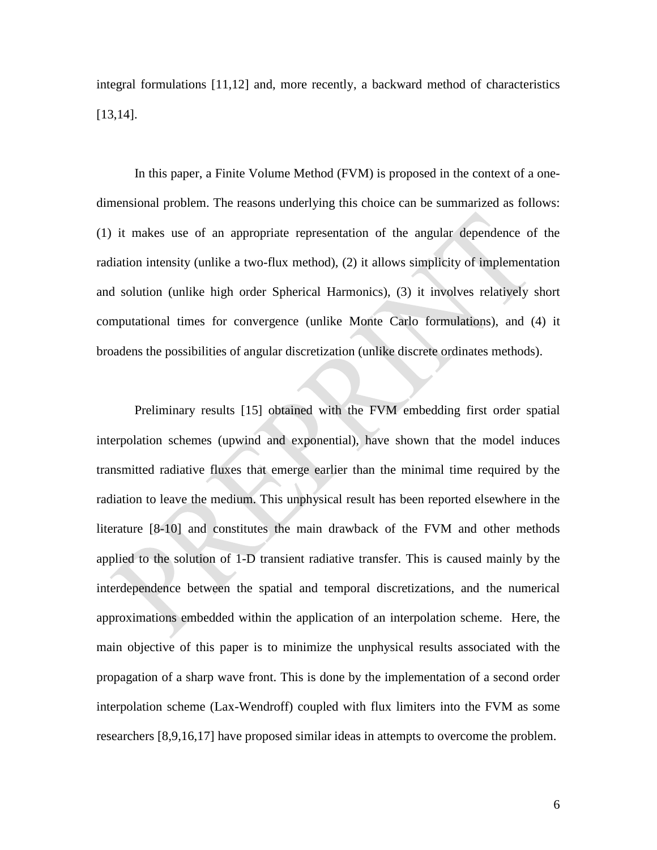integral formulations [11,12] and, more recently, a backward method of characteristics [13,14].

In this paper, a Finite Volume Method (FVM) is proposed in the context of a onedimensional problem. The reasons underlying this choice can be summarized as follows: (1) it makes use of an appropriate representation of the angular dependence of the radiation intensity (unlike a two-flux method), (2) it allows simplicity of implementation and solution (unlike high order Spherical Harmonics), (3) it involves relatively short computational times for convergence (unlike Monte Carlo formulations), and (4) it broadens the possibilities of angular discretization (unlike discrete ordinates methods).

Preliminary results [15] obtained with the FVM embedding first order spatial interpolation schemes (upwind and exponential), have shown that the model induces transmitted radiative fluxes that emerge earlier than the minimal time required by the radiation to leave the medium. This unphysical result has been reported elsewhere in the literature [8-10] and constitutes the main drawback of the FVM and other methods applied to the solution of 1-D transient radiative transfer. This is caused mainly by the interdependence between the spatial and temporal discretizations, and the numerical approximations embedded within the application of an interpolation scheme. Here, the main objective of this paper is to minimize the unphysical results associated with the propagation of a sharp wave front. This is done by the implementation of a second order interpolation scheme (Lax-Wendroff) coupled with flux limiters into the FVM as some researchers [8,9,16,17] have proposed similar ideas in attempts to overcome the problem.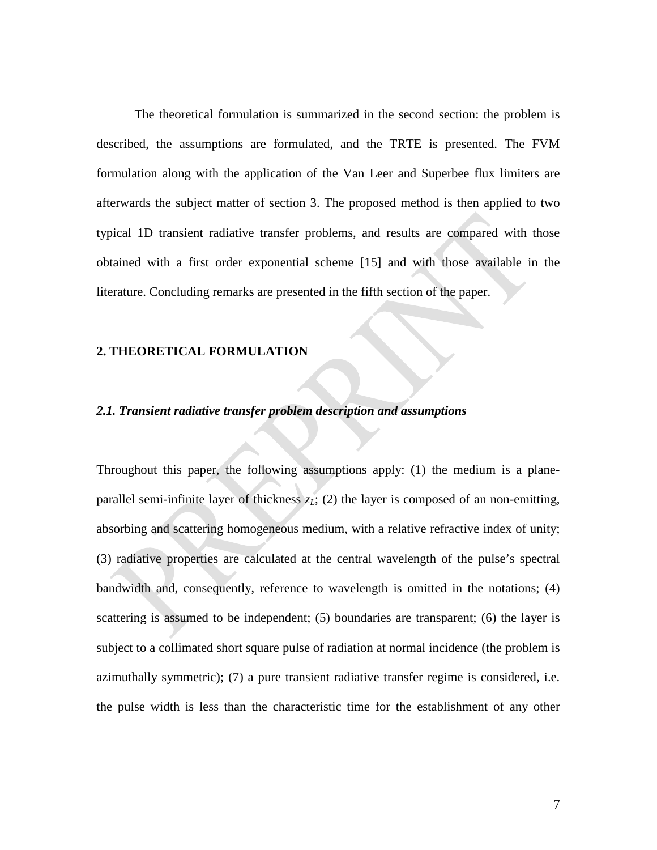The theoretical formulation is summarized in the second section: the problem is described, the assumptions are formulated, and the TRTE is presented. The FVM formulation along with the application of the Van Leer and Superbee flux limiters are afterwards the subject matter of section 3. The proposed method is then applied to two typical 1D transient radiative transfer problems, and results are compared with those obtained with a first order exponential scheme [15] and with those available in the literature. Concluding remarks are presented in the fifth section of the paper.

#### **2. THEORETICAL FORMULATION**

#### *2.1. Transient radiative transfer problem description and assumptions*

Throughout this paper, the following assumptions apply: (1) the medium is a planeparallel semi-infinite layer of thickness  $z_L$ ; (2) the layer is composed of an non-emitting, absorbing and scattering homogeneous medium, with a relative refractive index of unity; (3) radiative properties are calculated at the central wavelength of the pulse's spectral bandwidth and, consequently, reference to wavelength is omitted in the notations; (4) scattering is assumed to be independent; (5) boundaries are transparent; (6) the layer is subject to a collimated short square pulse of radiation at normal incidence (the problem is azimuthally symmetric); (7) a pure transient radiative transfer regime is considered, i.e. the pulse width is less than the characteristic time for the establishment of any other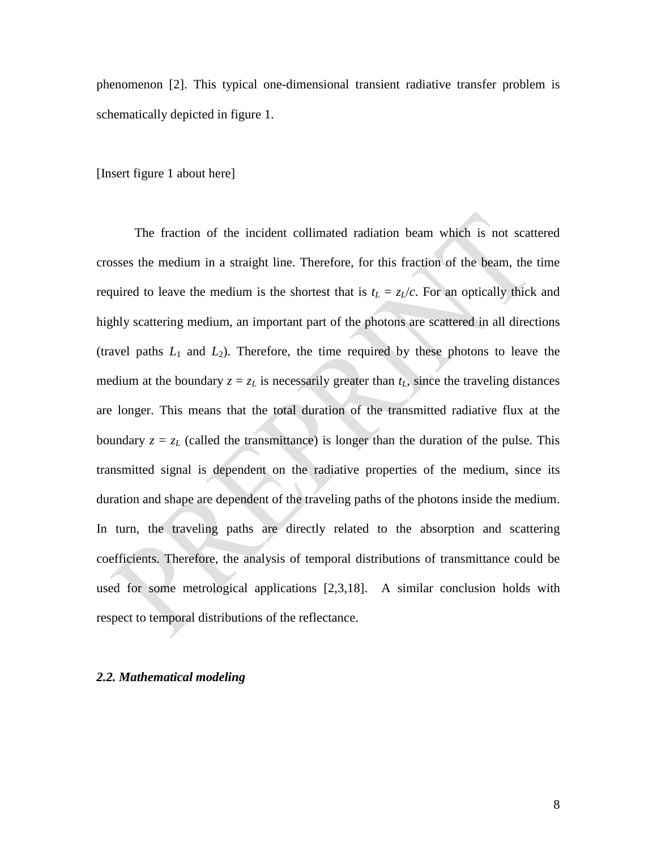phenomenon [2]. This typical one-dimensional transient radiative transfer problem is schematically depicted in figure 1.

[Insert figure 1 about here]

The fraction of the incident collimated radiation beam which is not scattered crosses the medium in a straight line. Therefore, for this fraction of the beam, the time required to leave the medium is the shortest that is  $t_L = z_L/c$ . For an optically thick and highly scattering medium, an important part of the photons are scattered in all directions (travel paths  $L_1$  and  $L_2$ ). Therefore, the time required by these photons to leave the medium at the boundary  $z = z_L$  is necessarily greater than  $t_L$ , since the traveling distances are longer. This means that the total duration of the transmitted radiative flux at the boundary  $z = z_L$  (called the transmittance) is longer than the duration of the pulse. This transmitted signal is dependent on the radiative properties of the medium, since its duration and shape are dependent of the traveling paths of the photons inside the medium. In turn, the traveling paths are directly related to the absorption and scattering coefficients. Therefore, the analysis of temporal distributions of transmittance could be used for some metrological applications [2,3,18]. A similar conclusion holds with respect to temporal distributions of the reflectance.

#### *2.2. Mathematical modeling*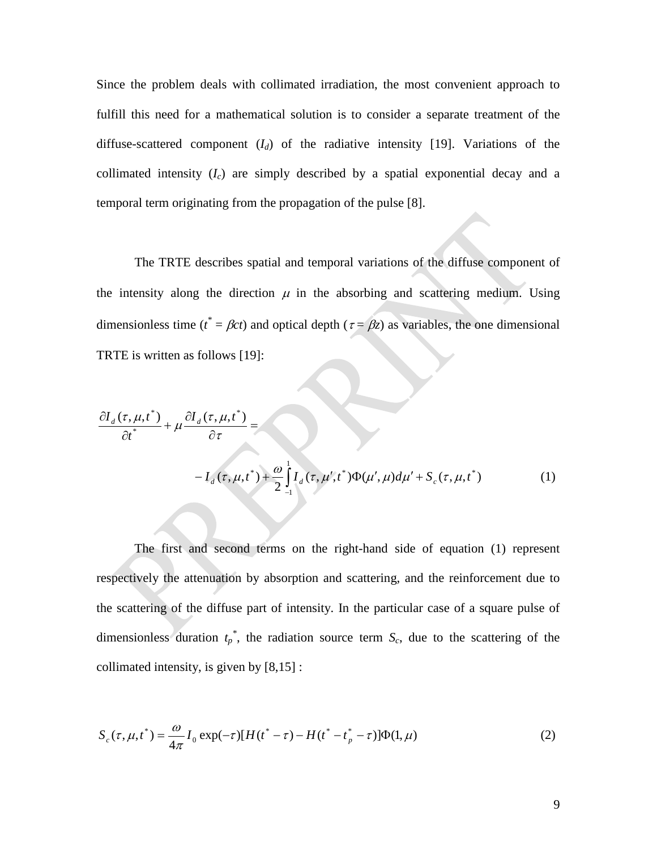Since the problem deals with collimated irradiation, the most convenient approach to fulfill this need for a mathematical solution is to consider a separate treatment of the diffuse-scattered component  $(I_d)$  of the radiative intensity [19]. Variations of the collimated intensity  $(I_c)$  are simply described by a spatial exponential decay and a temporal term originating from the propagation of the pulse [8].

The TRTE describes spatial and temporal variations of the diffuse component of the intensity along the direction  $\mu$  in the absorbing and scattering medium. Using dimensionless time ( $t^* = \beta ct$ ) and optical depth ( $\tau = \beta z$ ) as variables, the one dimensional TRTE is written as follows [19]:

$$
\frac{\partial I_d(\tau, \mu, t^*)}{\partial t^*} + \mu \frac{\partial I_d(\tau, \mu, t^*)}{\partial \tau} =
$$
\n
$$
-I_d(\tau, \mu, t^*) + \frac{\omega}{2} \int_{-1}^{1} I_d(\tau, \mu', t^*) \Phi(\mu', \mu) d\mu' + S_c(\tau, \mu, t^*)
$$
\n(1)

The first and second terms on the right-hand side of equation (1) represent respectively the attenuation by absorption and scattering, and the reinforcement due to the scattering of the diffuse part of intensity. In the particular case of a square pulse of dimensionless duration  $t_p^*$ , the radiation source term  $S_c$ , due to the scattering of the collimated intensity, is given by [8,15] :

$$
S_c(\tau, \mu, t^*) = \frac{\omega}{4\pi} I_0 \exp(-\tau) [H(t^* - \tau) - H(t^* - t^* - \tau)] \Phi(1, \mu)
$$
\n(2)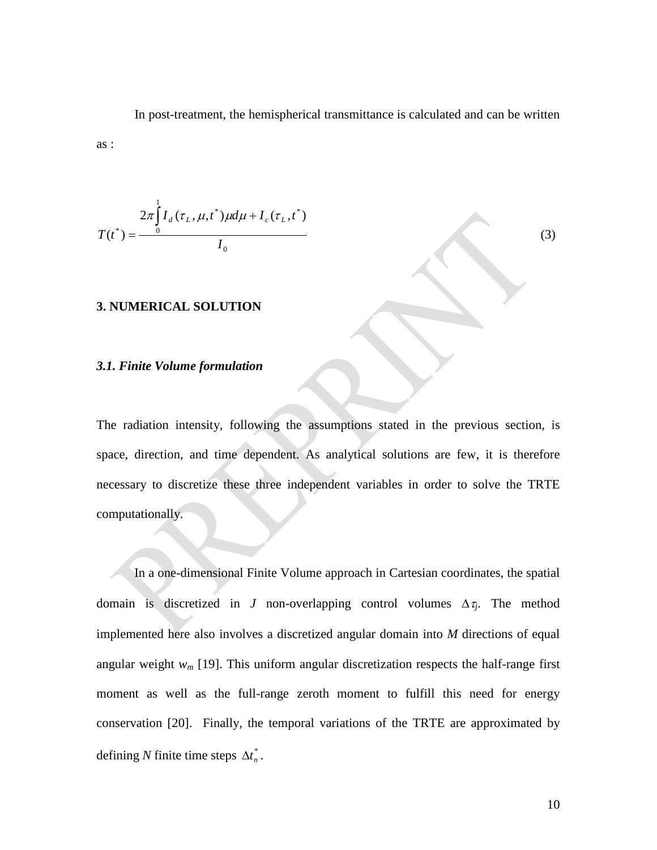In post-treatment, the hemispherical transmittance is calculated and can be written as :

$$
T(t^*) = \frac{2\pi \int_0^1 I_d(\tau_L, \mu, t^*) \mu d\mu + I_c(\tau_L, t^*)}{I_0}
$$

#### **3. NUMERICAL SOLUTION**

#### *3.1. Finite Volume formulation*

The radiation intensity, following the assumptions stated in the previous section, is space, direction, and time dependent. As analytical solutions are few, it is therefore necessary to discretize these three independent variables in order to solve the TRTE computationally.

In a one-dimensional Finite Volume approach in Cartesian coordinates, the spatial domain is discretized in *J* non-overlapping control volumes  $\Delta \tau_i$ . The method implemented here also involves a discretized angular domain into *M* directions of equal angular weight  $w_m$  [19]. This uniform angular discretization respects the half-range first moment as well as the full-range zeroth moment to fulfill this need for energy conservation [20]. Finally, the temporal variations of the TRTE are approximated by defining *N* finite time steps  $\Delta t_n^*$ .

(3)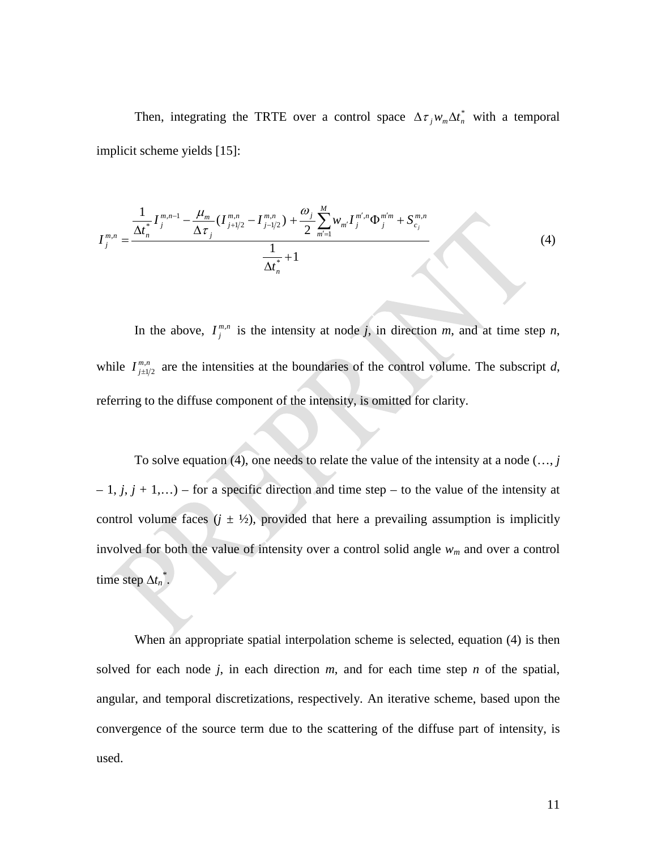Then, integrating the TRTE over a control space  $\Delta \tau_j w_m \Delta t_n^*$  with a temporal implicit scheme yields [15]:

$$
I_j^{m,n} = \frac{\frac{1}{\Delta t_n^*} I_j^{m,n-1} - \frac{\mu_m}{\Delta \tau_j} (I_{j+1/2}^{m,n} - I_{j-1/2}^{m,n}) + \frac{\omega_j}{2} \sum_{m'=1}^M w_{m'} I_j^{m',n} \Phi_j^{m'm} + S_{c_j}^{m,n}}{\frac{1}{\Delta t_n^*} + 1}
$$
(4)

In the above,  $I_j^{m,n}$  is the intensity at node *j*, in direction *m*, and at time step *n*, while  $I_{j\pm 1/2}^{m,n}$  are the intensities at the boundaries of the control volume. The subscript *d*, referring to the diffuse component of the intensity, is omitted for clarity.

To solve equation (4), one needs to relate the value of the intensity at a node (…, *j*  $-1$ ,  $j$ ,  $j + 1$ ,...) – for a specific direction and time step – to the value of the intensity at control volume faces  $(j \pm \frac{1}{2})$ , provided that here a prevailing assumption is implicitly involved for both the value of intensity over a control solid angle *wm* and over a control time step  $\Delta t_n^*$ .

When an appropriate spatial interpolation scheme is selected, equation (4) is then solved for each node  $j$ , in each direction  $m$ , and for each time step  $n$  of the spatial, angular, and temporal discretizations, respectively. An iterative scheme, based upon the convergence of the source term due to the scattering of the diffuse part of intensity, is used.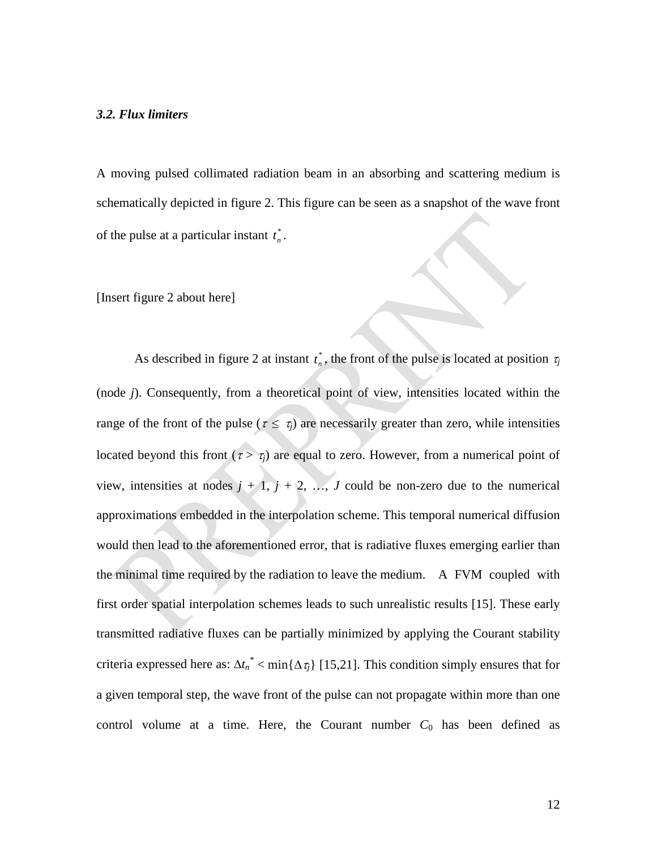A moving pulsed collimated radiation beam in an absorbing and scattering medium is schematically depicted in figure 2. This figure can be seen as a snapshot of the wave front of the pulse at a particular instant  $t_n^*$ .

[Insert figure 2 about here]

As described in figure 2 at instant  $t_n^*$ , the front of the pulse is located at position  $\tau_j$ (node *j*). Consequently, from a theoretical point of view, intensities located within the range of the front of the pulse ( $\tau \leq \tau_j$ ) are necessarily greater than zero, while intensities located beyond this front  $(\tau > \tau_i)$  are equal to zero. However, from a numerical point of view, intensities at nodes  $j + 1$ ,  $j + 2$ , ..., *J* could be non-zero due to the numerical approximations embedded in the interpolation scheme. This temporal numerical diffusion would then lead to the aforementioned error, that is radiative fluxes emerging earlier than the minimal time required by the radiation to leave the medium. A FVM coupled with first order spatial interpolation schemes leads to such unrealistic results [15]. These early transmitted radiative fluxes can be partially minimized by applying the Courant stability criteria expressed here as:  $\Delta t_n^*$  < min $\{\Delta \tau_j\}$  [15,21]. This condition simply ensures that for a given temporal step, the wave front of the pulse can not propagate within more than one control volume at a time. Here, the Courant number  $C_0$  has been defined as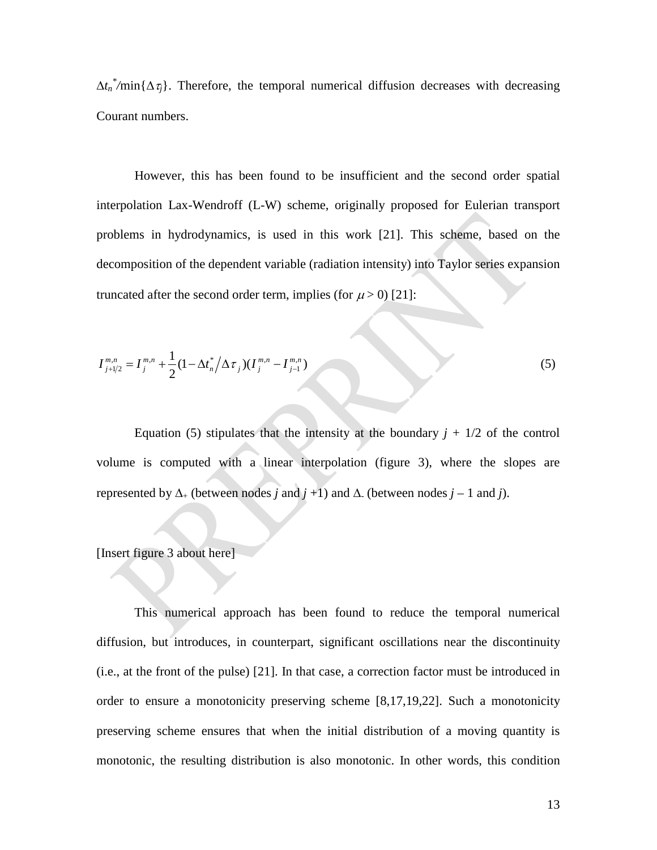$\Delta t_n^*$ /min $\{\Delta \tau_j\}$ . Therefore, the temporal numerical diffusion decreases with decreasing Courant numbers.

However, this has been found to be insufficient and the second order spatial interpolation Lax-Wendroff (L-W) scheme, originally proposed for Eulerian transport problems in hydrodynamics, is used in this work [21]. This scheme, based on the decomposition of the dependent variable (radiation intensity) into Taylor series expansion truncated after the second order term, implies (for  $\mu$  > 0) [21]:

$$
I_{j+1/2}^{m,n} = I_j^{m,n} + \frac{1}{2} (1 - \Delta t_n^* / \Delta \tau_j) (I_j^{m,n} - I_{j-1}^{m,n})
$$
\n<sup>(5)</sup>

Equation (5) stipulates that the intensity at the boundary  $j + 1/2$  of the control volume is computed with a linear interpolation (figure 3), where the slopes are represented by ∆<sup>+</sup> (between nodes *j* and *j* +1) and ∆- (between nodes *j* – 1 and *j*).

#### [Insert figure 3 about here]

This numerical approach has been found to reduce the temporal numerical diffusion, but introduces, in counterpart, significant oscillations near the discontinuity (i.e., at the front of the pulse) [21]. In that case, a correction factor must be introduced in order to ensure a monotonicity preserving scheme [8,17,19,22]. Such a monotonicity preserving scheme ensures that when the initial distribution of a moving quantity is monotonic, the resulting distribution is also monotonic. In other words, this condition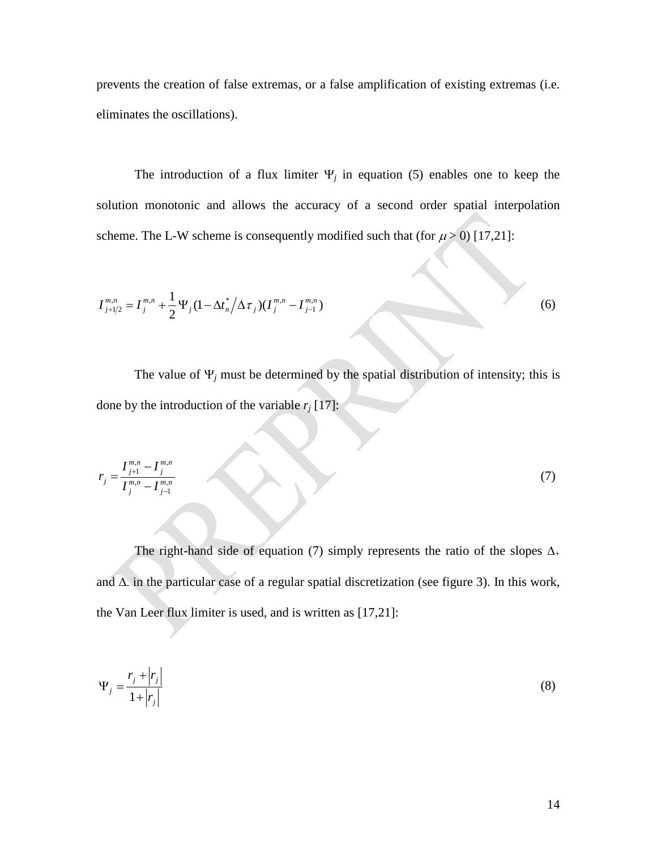prevents the creation of false extremas, or a false amplification of existing extremas (i.e. eliminates the oscillations).

The introduction of a flux limiter  $\Psi_i$  in equation (5) enables one to keep the solution monotonic and allows the accuracy of a second order spatial interpolation scheme. The L-W scheme is consequently modified such that (for  $\mu > 0$ ) [17,21]:

$$
I_{j+1/2}^{m,n} = I_j^{m,n} + \frac{1}{2} \Psi_j (1 - \Delta t_n^* / \Delta \tau_j) (I_j^{m,n} - I_{j-1}^{m,n})
$$
\n(6)

The value of  $\Psi_j$  must be determined by the spatial distribution of intensity; this is done by the introduction of the variable  $r_j$  [17]:

$$
r_{j} = \frac{I_{j+1}^{m,n} - I_{j}^{m,n}}{I_{j}^{m,n} - I_{j-1}^{m,n}}
$$
\n(7)

The right-hand side of equation (7) simply represents the ratio of the slopes  $\Delta_+$ and ∆- in the particular case of a regular spatial discretization (see figure 3). In this work, the Van Leer flux limiter is used, and is written as [17,21]:

$$
\Psi_j = \frac{r_j + |r_j|}{1 + |r_j|} \tag{8}
$$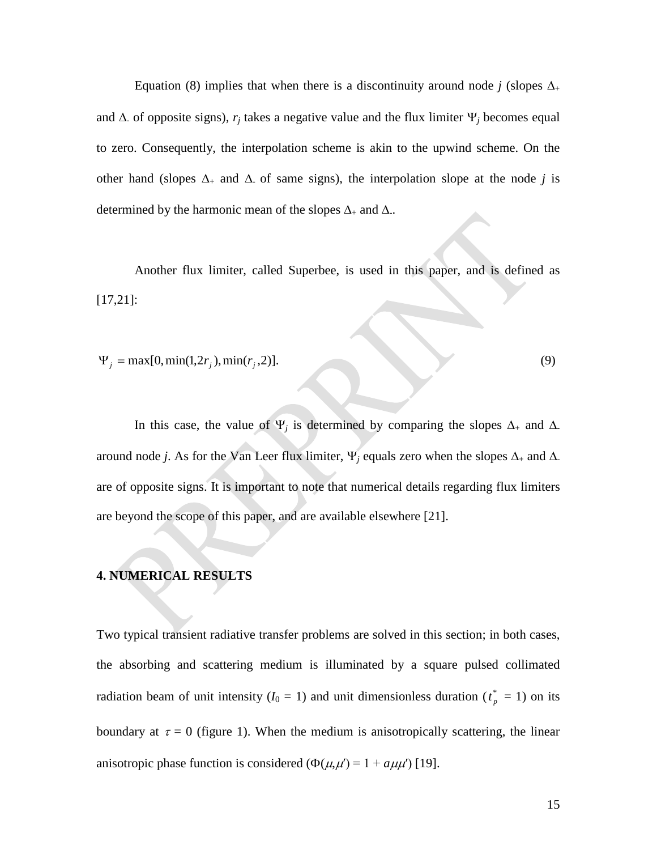Equation (8) implies that when there is a discontinuity around node *j* (slopes  $\Delta_{+}$ and  $\Delta$  of opposite signs),  $r_j$  takes a negative value and the flux limiter  $\Psi_j$  becomes equal to zero. Consequently, the interpolation scheme is akin to the upwind scheme. On the other hand (slopes  $\Delta_+$  and  $\Delta_-$  of same signs), the interpolation slope at the node *j* is determined by the harmonic mean of the slopes  $\Delta_+$  and  $\Delta_-$ .

Another flux limiter, called Superbee, is used in this paper, and is defined as [17,21]:

 $\Psi_j = \max[0, \min(1, 2r_j), \min(r_j, 2)].$  (9)

In this case, the value of  $\Psi_j$  is determined by comparing the slopes  $\Delta_+$  and  $\Delta_$ around node *j*. As for the Van Leer flux limiter,  $\Psi_j$  equals zero when the slopes  $\Delta_+$  and  $\Delta_$ are of opposite signs. It is important to note that numerical details regarding flux limiters are beyond the scope of this paper, and are available elsewhere [21].

#### **4. NUMERICAL RESULTS**

Two typical transient radiative transfer problems are solved in this section; in both cases, the absorbing and scattering medium is illuminated by a square pulsed collimated radiation beam of unit intensity  $(I_0 = 1)$  and unit dimensionless duration  $(t_p^* = 1)$  on its boundary at  $\tau = 0$  (figure 1). When the medium is anisotropically scattering, the linear anisotropic phase function is considered ( $\Phi(\mu, \mu') = 1 + a \mu \mu'$ ) [19].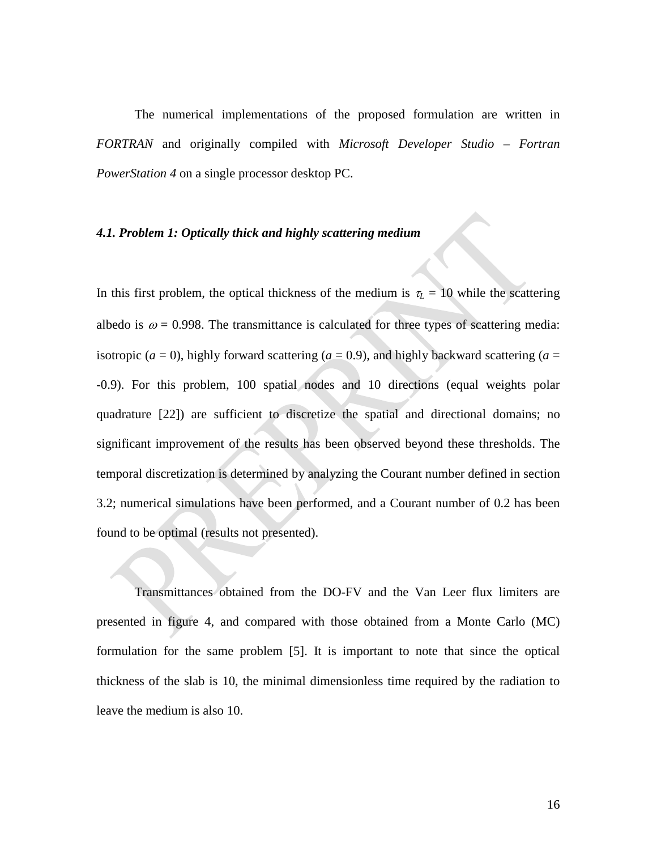The numerical implementations of the proposed formulation are written in *FORTRAN* and originally compiled with *Microsoft Developer Studio – Fortran PowerStation 4* on a single processor desktop PC.

#### *4.1. Problem 1: Optically thick and highly scattering medium*

In this first problem, the optical thickness of the medium is  $\tau_L = 10$  while the scattering albedo is  $\omega = 0.998$ . The transmittance is calculated for three types of scattering media: isotropic ( $a = 0$ ), highly forward scattering ( $a = 0.9$ ), and highly backward scattering ( $a = 0$ ) -0.9). For this problem, 100 spatial nodes and 10 directions (equal weights polar quadrature [22]) are sufficient to discretize the spatial and directional domains; no significant improvement of the results has been observed beyond these thresholds. The temporal discretization is determined by analyzing the Courant number defined in section 3.2; numerical simulations have been performed, and a Courant number of 0.2 has been found to be optimal (results not presented).

Transmittances obtained from the DO-FV and the Van Leer flux limiters are presented in figure 4, and compared with those obtained from a Monte Carlo (MC) formulation for the same problem [5]. It is important to note that since the optical thickness of the slab is 10, the minimal dimensionless time required by the radiation to leave the medium is also 10.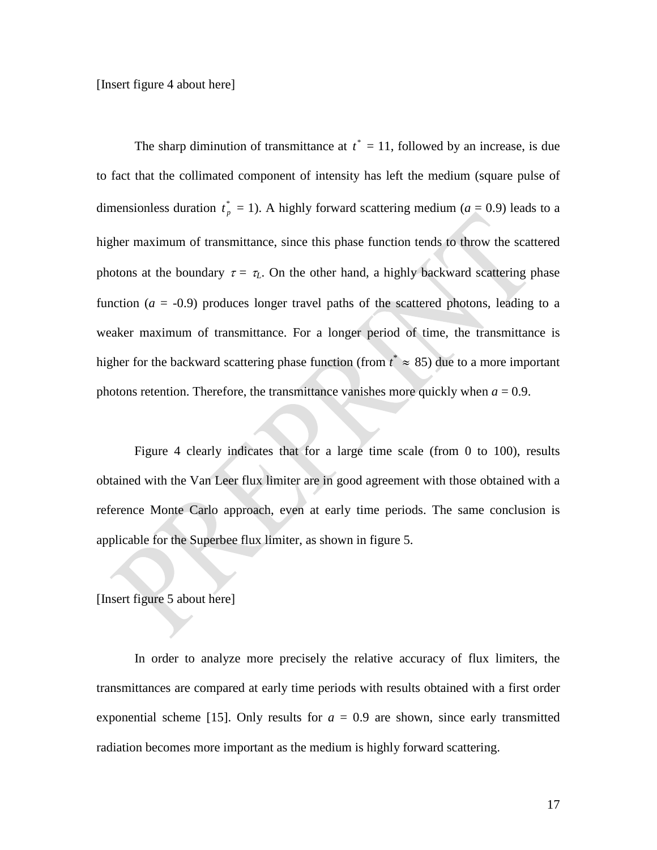[Insert figure 4 about here]

The sharp diminution of transmittance at  $t^* = 11$ , followed by an increase, is due to fact that the collimated component of intensity has left the medium (square pulse of dimensionless duration  $t_p^* = 1$ ). A highly forward scattering medium ( $a = 0.9$ ) leads to a higher maximum of transmittance, since this phase function tends to throw the scattered photons at the boundary  $\tau = \tau_L$ . On the other hand, a highly backward scattering phase function  $(a = -0.9)$  produces longer travel paths of the scattered photons, leading to a weaker maximum of transmittance. For a longer period of time, the transmittance is higher for the backward scattering phase function (from  $t^* \approx 85$ ) due to a more important photons retention. Therefore, the transmittance vanishes more quickly when  $a = 0.9$ .

Figure 4 clearly indicates that for a large time scale (from 0 to 100), results obtained with the Van Leer flux limiter are in good agreement with those obtained with a reference Monte Carlo approach, even at early time periods. The same conclusion is applicable for the Superbee flux limiter, as shown in figure 5.

### [Insert figure 5 about here]

In order to analyze more precisely the relative accuracy of flux limiters, the transmittances are compared at early time periods with results obtained with a first order exponential scheme [15]. Only results for  $a = 0.9$  are shown, since early transmitted radiation becomes more important as the medium is highly forward scattering.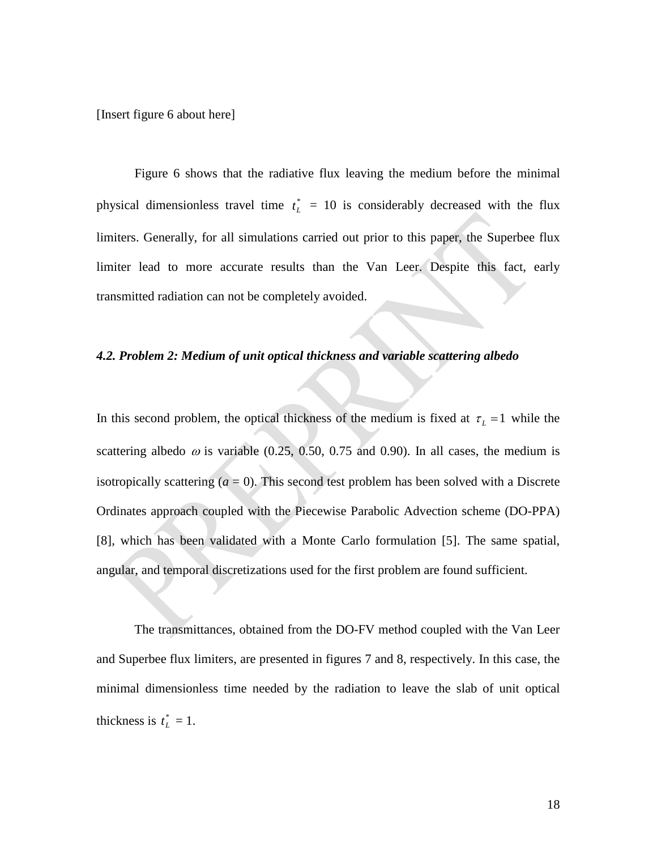[Insert figure 6 about here]

Figure 6 shows that the radiative flux leaving the medium before the minimal physical dimensionless travel time  $t_L^* = 10$  is considerably decreased with the flux limiters. Generally, for all simulations carried out prior to this paper, the Superbee flux limiter lead to more accurate results than the Van Leer. Despite this fact, early transmitted radiation can not be completely avoided.

### *4.2. Problem 2: Medium of unit optical thickness and variable scattering albedo*

In this second problem, the optical thickness of the medium is fixed at  $\tau_L = 1$  while the scattering albedo  $\omega$  is variable (0.25, 0.50, 0.75 and 0.90). In all cases, the medium is isotropically scattering  $(a = 0)$ . This second test problem has been solved with a Discrete Ordinates approach coupled with the Piecewise Parabolic Advection scheme (DO-PPA) [8], which has been validated with a Monte Carlo formulation [5]. The same spatial, angular, and temporal discretizations used for the first problem are found sufficient.

The transmittances, obtained from the DO-FV method coupled with the Van Leer and Superbee flux limiters, are presented in figures 7 and 8, respectively. In this case, the minimal dimensionless time needed by the radiation to leave the slab of unit optical thickness is  $t_L^* = 1$ .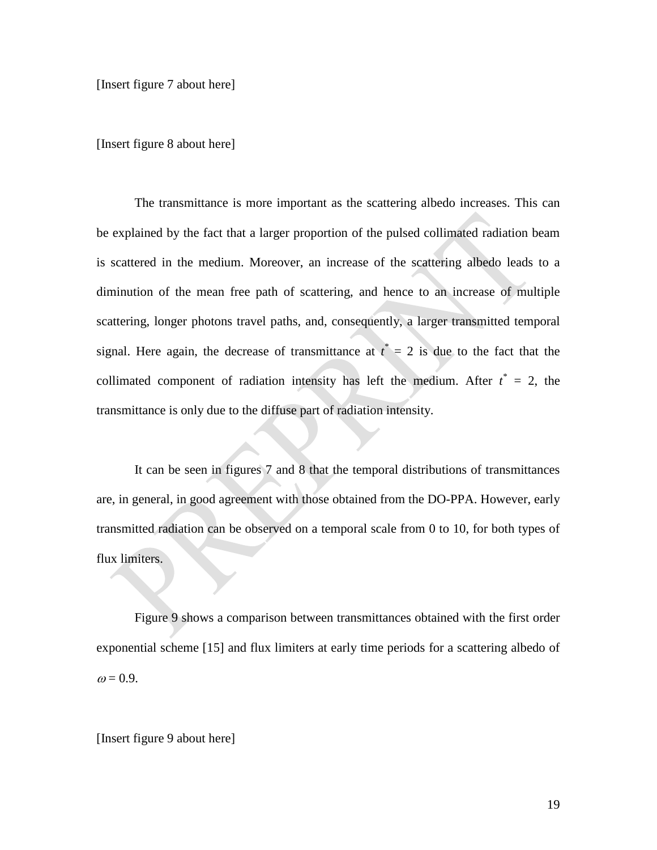[Insert figure 7 about here]

[Insert figure 8 about here]

The transmittance is more important as the scattering albedo increases. This can be explained by the fact that a larger proportion of the pulsed collimated radiation beam is scattered in the medium. Moreover, an increase of the scattering albedo leads to a diminution of the mean free path of scattering, and hence to an increase of multiple scattering, longer photons travel paths, and, consequently, a larger transmitted temporal signal. Here again, the decrease of transmittance at  $t^* = 2$  is due to the fact that the collimated component of radiation intensity has left the medium. After  $t^* = 2$ , the transmittance is only due to the diffuse part of radiation intensity.

It can be seen in figures 7 and 8 that the temporal distributions of transmittances are, in general, in good agreement with those obtained from the DO-PPA. However, early transmitted radiation can be observed on a temporal scale from 0 to 10, for both types of flux limiters.

Figure 9 shows a comparison between transmittances obtained with the first order exponential scheme [15] and flux limiters at early time periods for a scattering albedo of  $\omega$  = 0.9.

[Insert figure 9 about here]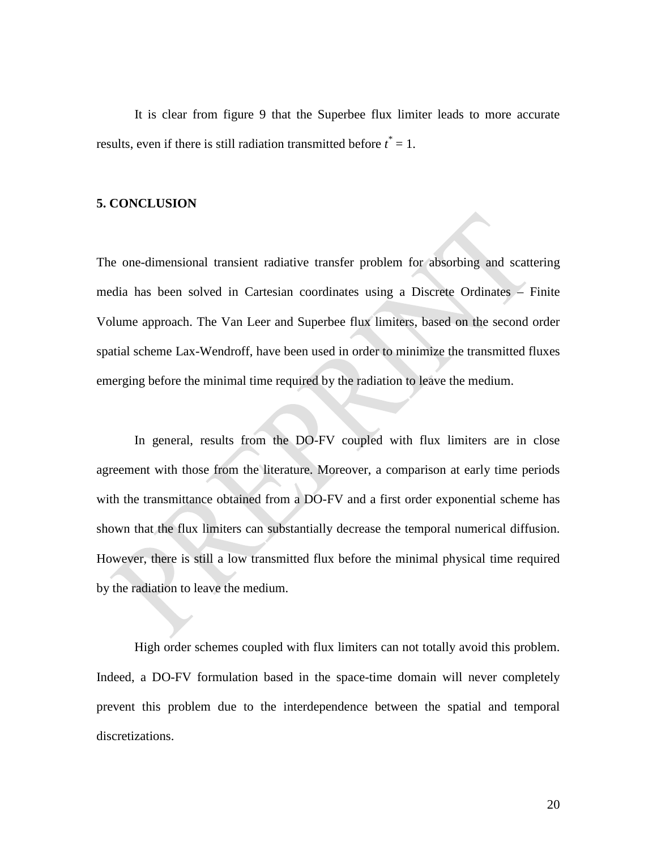It is clear from figure 9 that the Superbee flux limiter leads to more accurate results, even if there is still radiation transmitted before *t \** = 1.

#### **5. CONCLUSION**

The one-dimensional transient radiative transfer problem for absorbing and scattering media has been solved in Cartesian coordinates using a Discrete Ordinates – Finite Volume approach. The Van Leer and Superbee flux limiters, based on the second order spatial scheme Lax-Wendroff, have been used in order to minimize the transmitted fluxes emerging before the minimal time required by the radiation to leave the medium.

In general, results from the DO-FV coupled with flux limiters are in close agreement with those from the literature. Moreover, a comparison at early time periods with the transmittance obtained from a DO-FV and a first order exponential scheme has shown that the flux limiters can substantially decrease the temporal numerical diffusion. However, there is still a low transmitted flux before the minimal physical time required by the radiation to leave the medium.

High order schemes coupled with flux limiters can not totally avoid this problem. Indeed, a DO-FV formulation based in the space-time domain will never completely prevent this problem due to the interdependence between the spatial and temporal discretizations.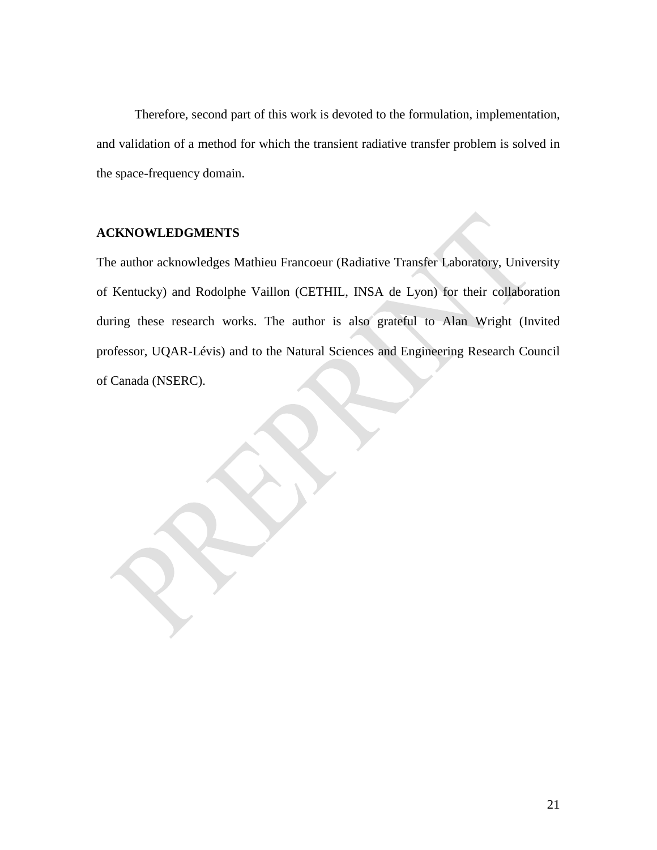Therefore, second part of this work is devoted to the formulation, implementation, and validation of a method for which the transient radiative transfer problem is solved in the space-frequency domain.

### **ACKNOWLEDGMENTS**

The author acknowledges Mathieu Francoeur (Radiative Transfer Laboratory, University of Kentucky) and Rodolphe Vaillon (CETHIL, INSA de Lyon) for their collaboration during these research works. The author is also grateful to Alan Wright (Invited professor, UQAR-Lévis) and to the Natural Sciences and Engineering Research Council of Canada (NSERC).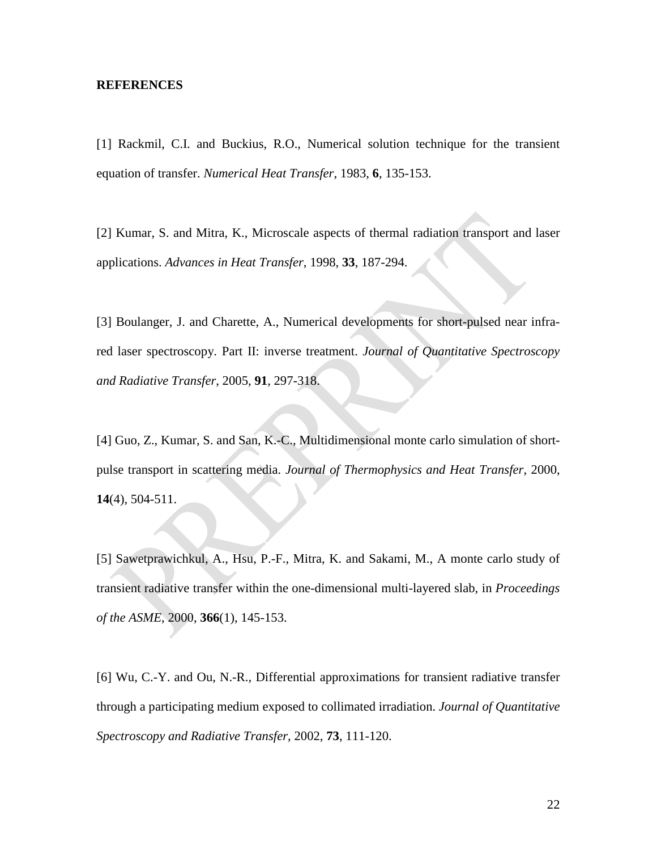#### **REFERENCES**

[1] Rackmil, C.I. and Buckius, R.O., Numerical solution technique for the transient equation of transfer. *Numerical Heat Transfer*, 1983, **6**, 135-153.

[2] Kumar, S. and Mitra, K., Microscale aspects of thermal radiation transport and laser applications. *Advances in Heat Transfer*, 1998, **33**, 187-294.

[3] Boulanger, J. and Charette, A., Numerical developments for short-pulsed near infrared laser spectroscopy. Part II: inverse treatment. *Journal of Quantitative Spectroscopy and Radiative Transfer*, 2005, **91**, 297-318.

[4] Guo, Z., Kumar, S. and San, K.-C., Multidimensional monte carlo simulation of shortpulse transport in scattering media. *Journal of Thermophysics and Heat Transfer*, 2000, **14**(4), 504-511.

[5] Sawetprawichkul, A., Hsu, P.-F., Mitra, K. and Sakami, M., A monte carlo study of transient radiative transfer within the one-dimensional multi-layered slab, in *Proceedings of the ASME*, 2000, **366**(1), 145-153.

[6] Wu, C.-Y. and Ou, N.-R., Differential approximations for transient radiative transfer through a participating medium exposed to collimated irradiation. *Journal of Quantitative Spectroscopy and Radiative Transfer*, 2002, **73**, 111-120.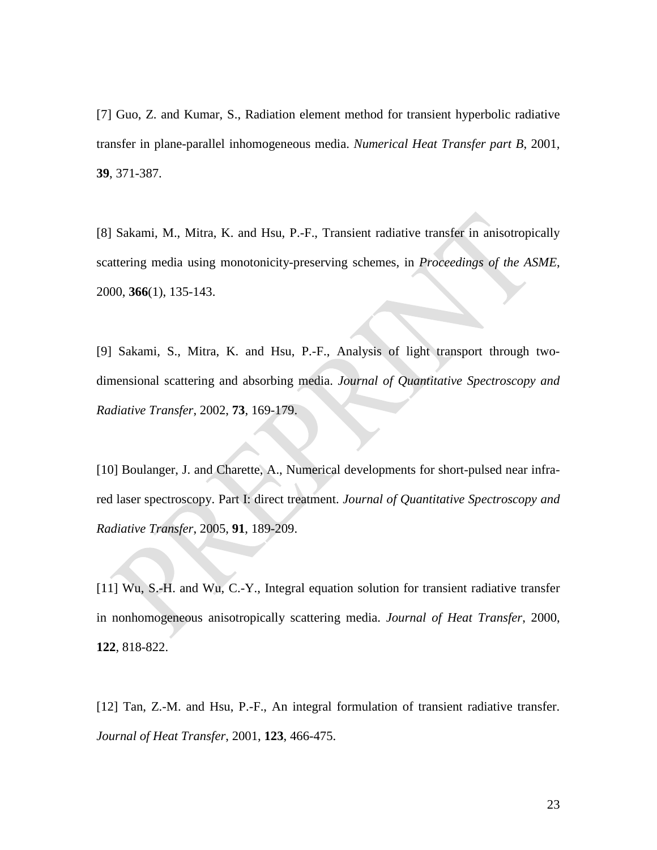[7] Guo, Z. and Kumar, S., Radiation element method for transient hyperbolic radiative transfer in plane-parallel inhomogeneous media. *Numerical Heat Transfer part B*, 2001, **39**, 371-387.

[8] Sakami, M., Mitra, K. and Hsu, P.-F., Transient radiative transfer in anisotropically scattering media using monotonicity-preserving schemes, in *Proceedings of the ASME*, 2000, **366**(1), 135-143.

[9] Sakami, S., Mitra, K. and Hsu, P.-F., Analysis of light transport through twodimensional scattering and absorbing media. *Journal of Quantitative Spectroscopy and Radiative Transfer*, 2002, **73**, 169-179.

[10] Boulanger, J. and Charette, A., Numerical developments for short-pulsed near infrared laser spectroscopy. Part I: direct treatment. *Journal of Quantitative Spectroscopy and Radiative Transfer*, 2005, **91**, 189-209.

[11] Wu, S.-H. and Wu, C.-Y., Integral equation solution for transient radiative transfer in nonhomogeneous anisotropically scattering media. *Journal of Heat Transfer*, 2000, **122**, 818-822.

[12] Tan, Z.-M. and Hsu, P.-F., An integral formulation of transient radiative transfer. *Journal of Heat Transfer*, 2001, **123**, 466-475.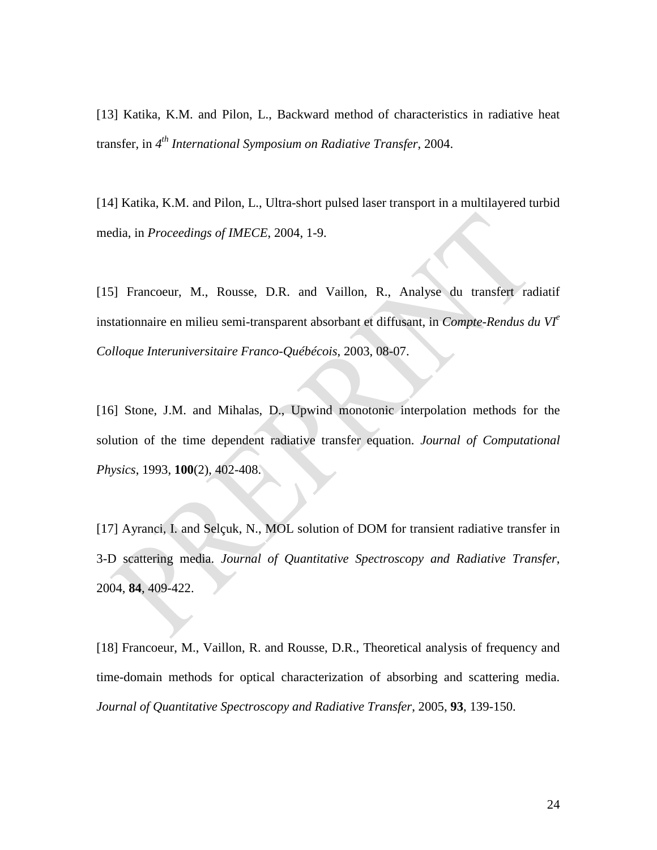[13] Katika, K.M. and Pilon, L., Backward method of characteristics in radiative heat transfer, in *4th International Symposium on Radiative Transfer*, 2004.

[14] Katika, K.M. and Pilon, L., Ultra-short pulsed laser transport in a multilayered turbid media, in *Proceedings of IMECE*, 2004, 1-9.

[15] Francoeur, M., Rousse, D.R. and Vaillon, R., Analyse du transfert radiatif instationnaire en milieu semi-transparent absorbant et diffusant, in *Compte-Rendus du VIe Colloque Interuniversitaire Franco-Québécois*, 2003, 08-07.

[16] Stone, J.M. and Mihalas, D., Upwind monotonic interpolation methods for the solution of the time dependent radiative transfer equation. *Journal of Computational Physics*, 1993, **100**(2), 402-408.

[17] Ayranci, I. and Selçuk, N., MOL solution of DOM for transient radiative transfer in 3-D scattering media. *Journal of Quantitative Spectroscopy and Radiative Transfer*, 2004, **84**, 409-422.

[18] Francoeur, M., Vaillon, R. and Rousse, D.R., Theoretical analysis of frequency and time-domain methods for optical characterization of absorbing and scattering media. *Journal of Quantitative Spectroscopy and Radiative Transfer*, 2005, **93**, 139-150.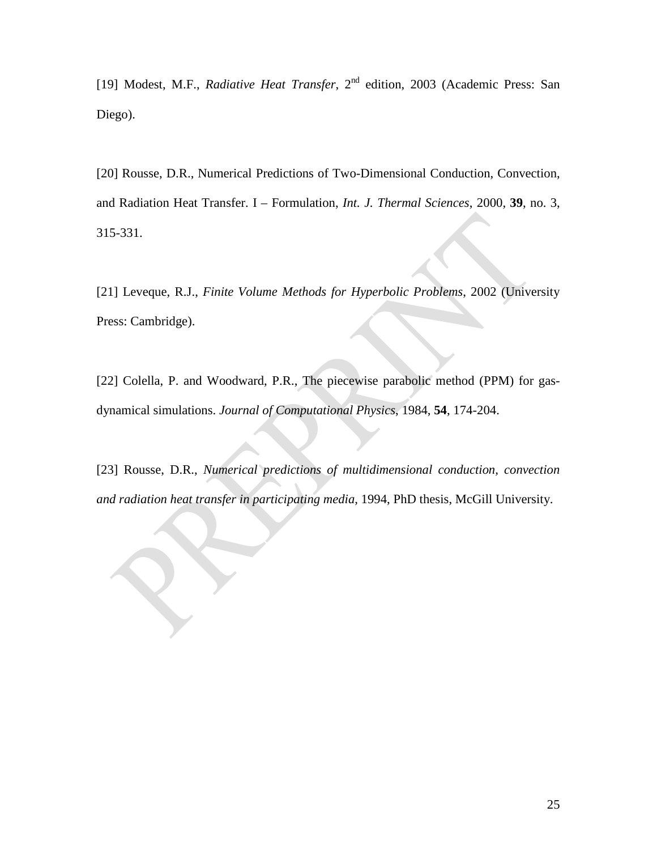[19] Modest, M.F., *Radiative Heat Transfer*, 2<sup>nd</sup> edition, 2003 (Academic Press: San Diego).

[20] Rousse, D.R., Numerical Predictions of Two-Dimensional Conduction, Convection, and Radiation Heat Transfer. I – Formulation, *Int. J. Thermal Sciences*, 2000, **39**, no. 3, 315-331.

[21] Leveque, R.J., *Finite Volume Methods for Hyperbolic Problems*, 2002 (University Press: Cambridge).

[22] Colella, P. and Woodward, P.R., The piecewise parabolic method (PPM) for gasdynamical simulations. *Journal of Computational Physics*, 1984, **54**, 174-204.

[23] Rousse, D.R., *Numerical predictions of multidimensional conduction, convection and radiation heat transfer in participating media*, 1994, PhD thesis, McGill University.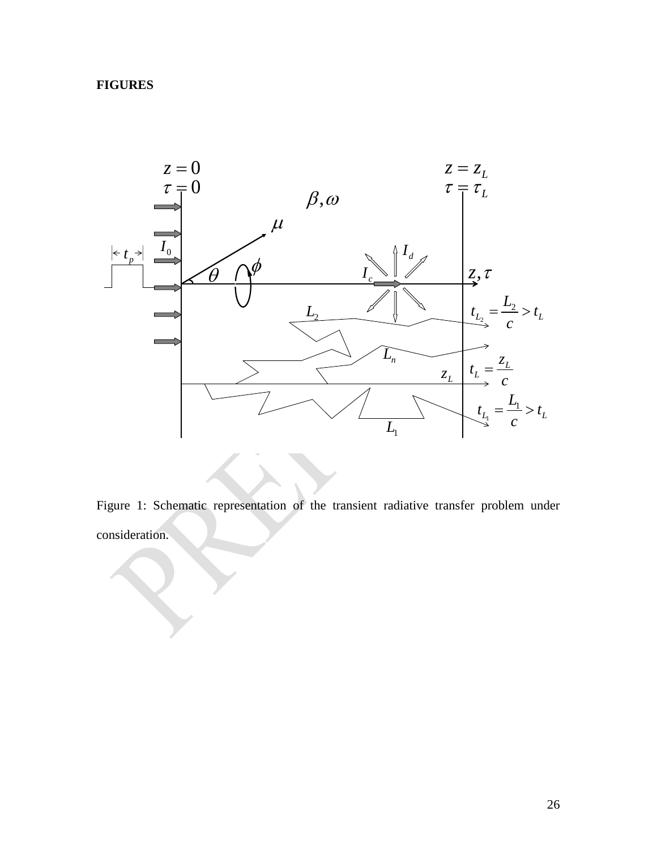# **FIGURES**



Figure 1: Schematic representation of the transient radiative transfer problem under consideration.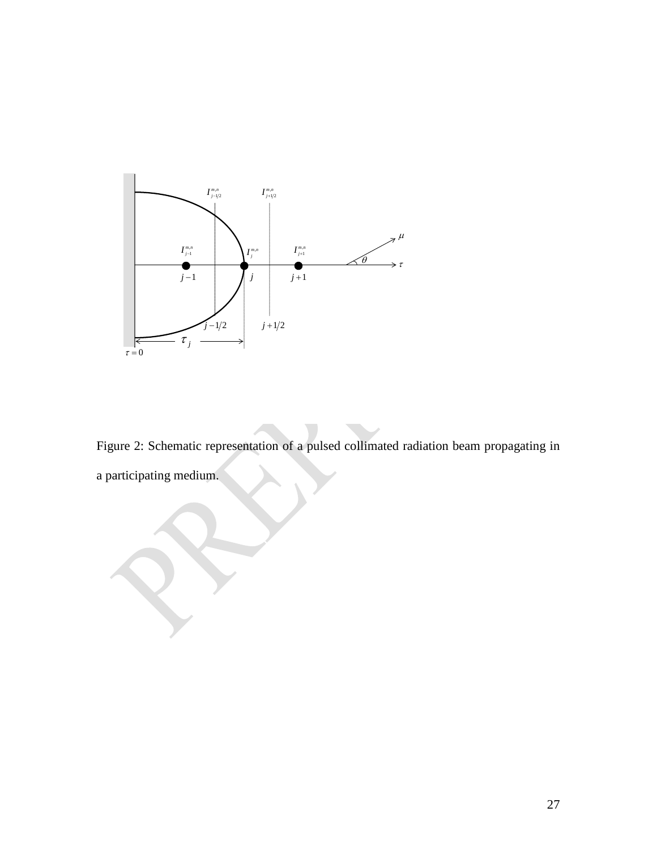

Figure 2: Schematic representation of a pulsed collimated radiation beam propagating in a participating medium.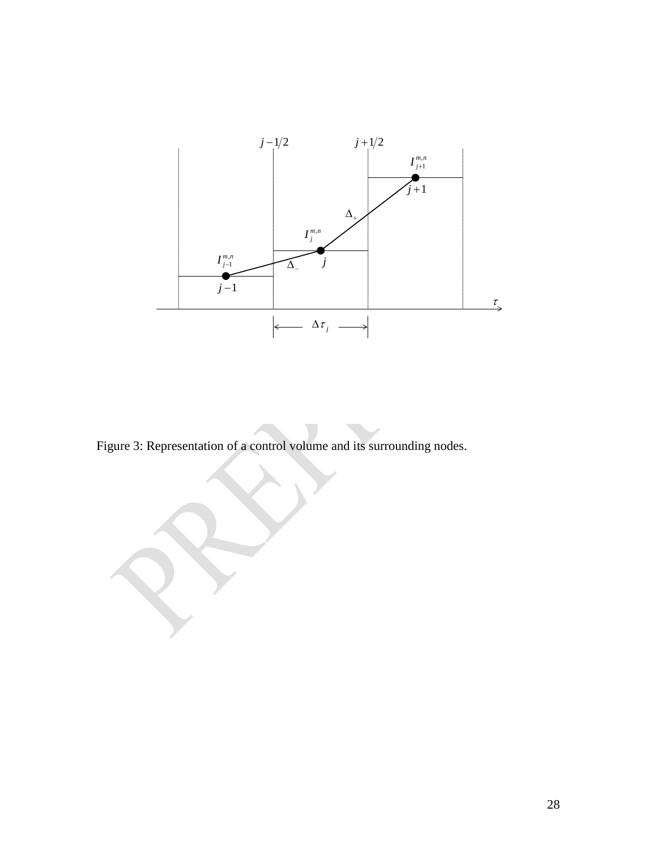

Figure 3: Representation of a control volume and its surrounding nodes.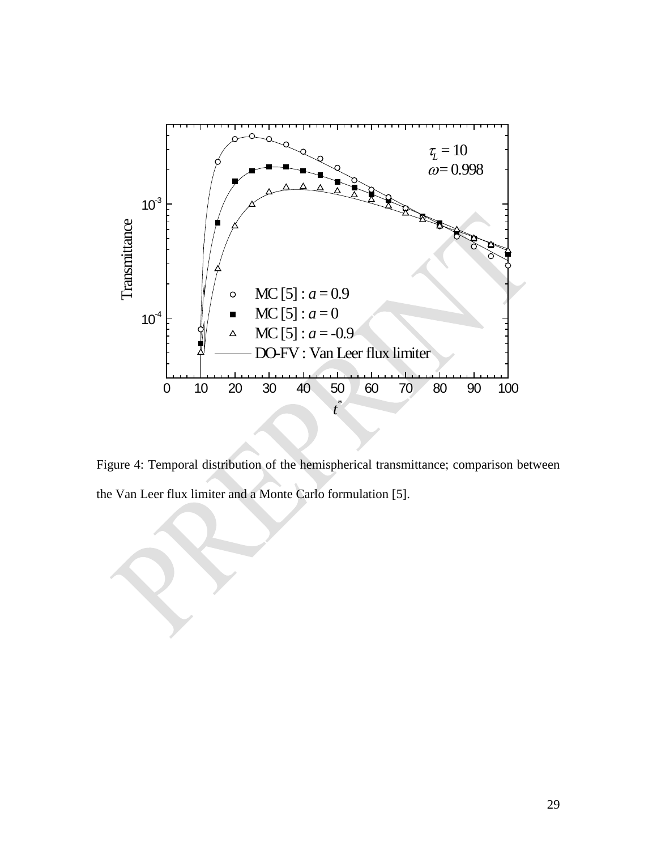

Figure 4: Temporal distribution of the hemispherical transmittance; comparison between the Van Leer flux limiter and a Monte Carlo formulation [5].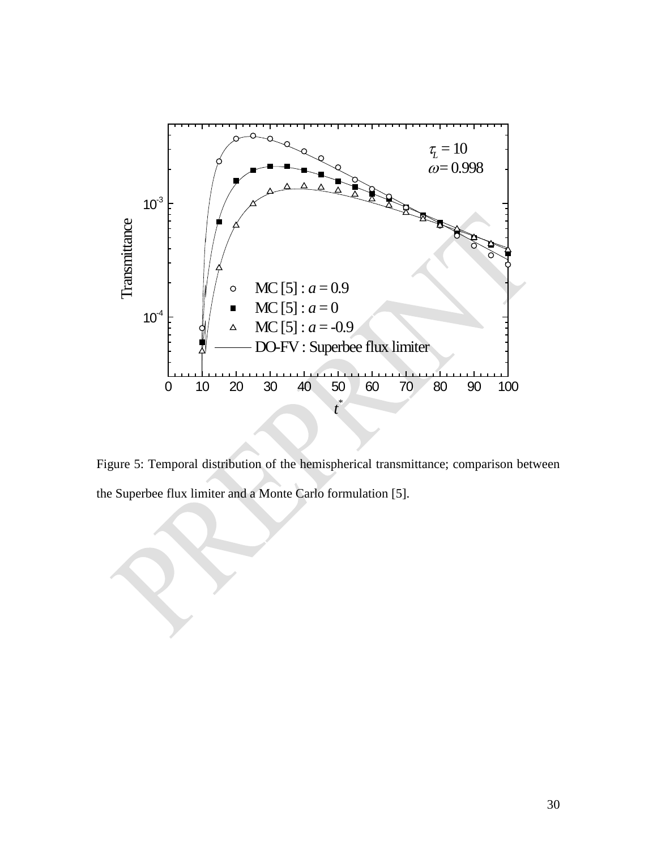

Figure 5: Temporal distribution of the hemispherical transmittance; comparison between the Superbee flux limiter and a Monte Carlo formulation [5].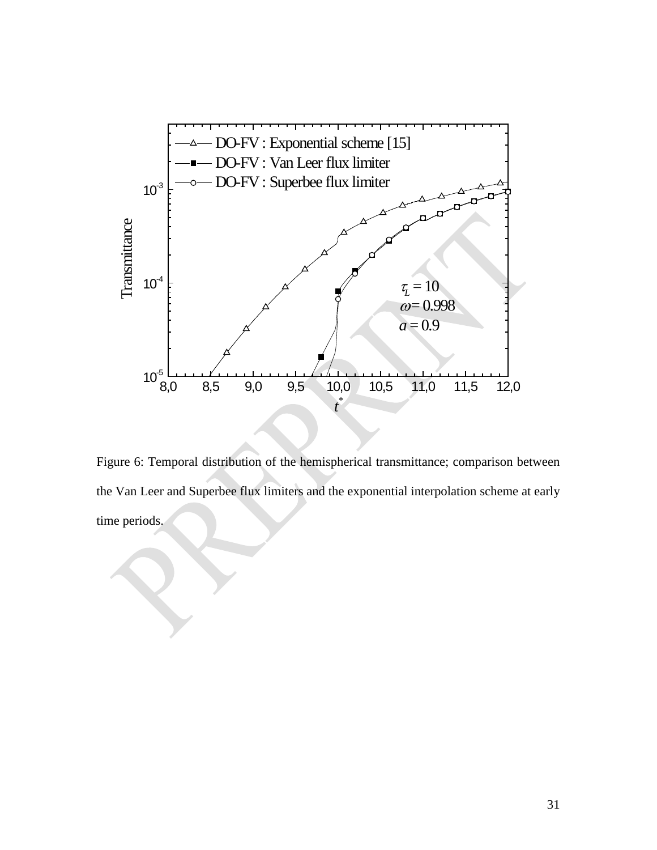

Figure 6: Temporal distribution of the hemispherical transmittance; comparison between the Van Leer and Superbee flux limiters and the exponential interpolation scheme at early time periods.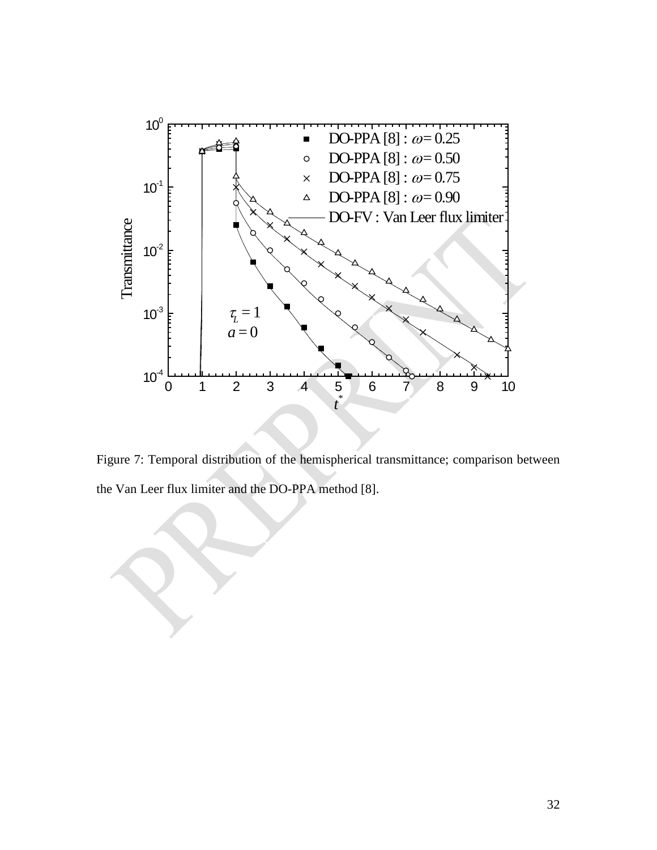

Figure 7: Temporal distribution of the hemispherical transmittance; comparison between the Van Leer flux limiter and the DO-PPA method [8].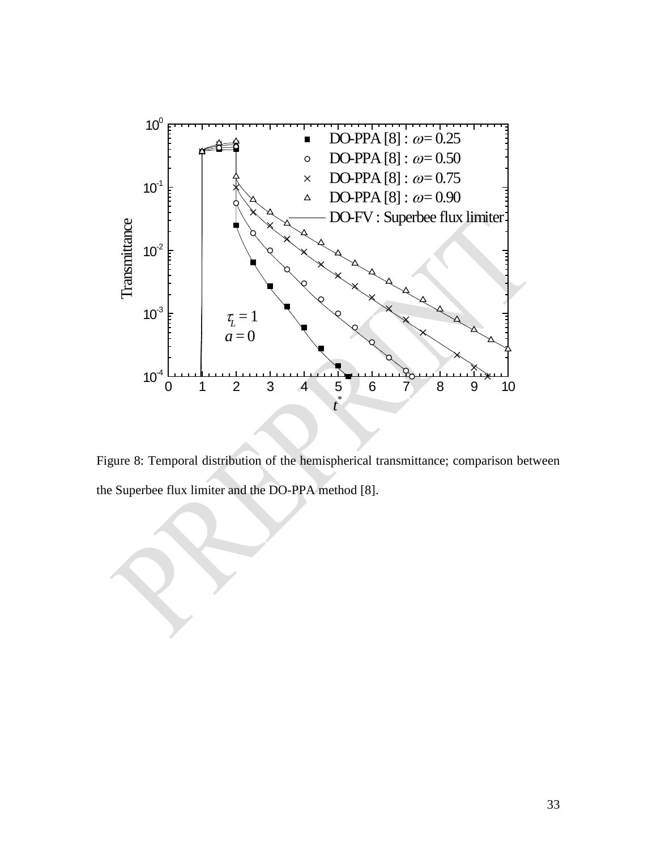

Figure 8: Temporal distribution of the hemispherical transmittance; comparison between the Superbee flux limiter and the DO-PPA method [8].